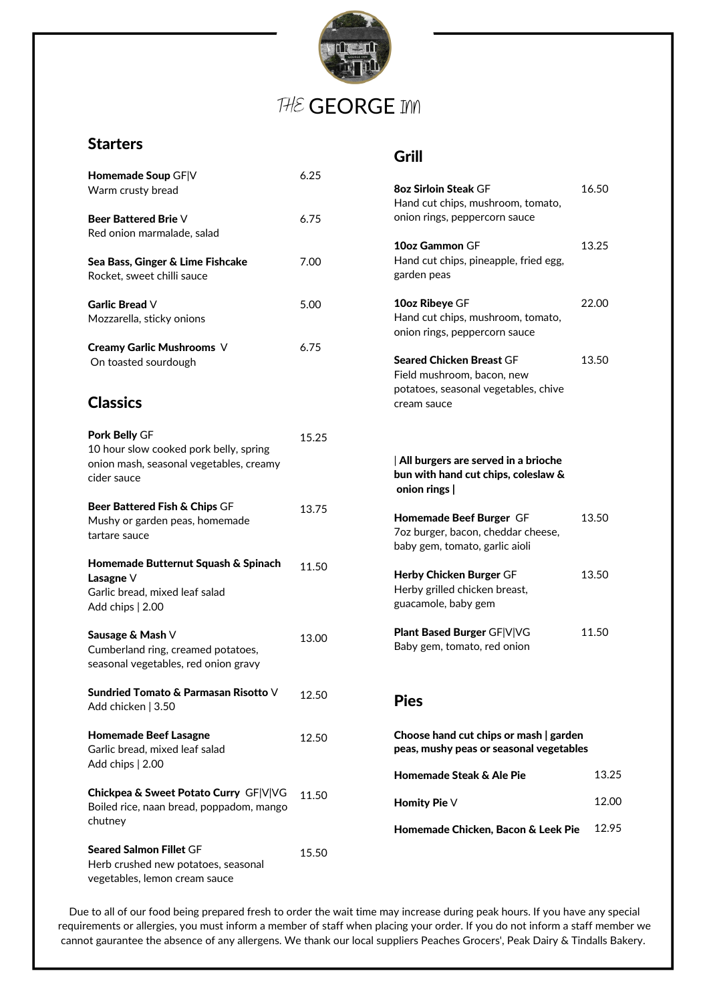

# THE GEORGE INN

## **Starters**

| Homemade Soup GF V<br>Warm crusty bread                                                                           | 6.25  |
|-------------------------------------------------------------------------------------------------------------------|-------|
| Beer Battered Brie V<br>Red onion marmalade, salad                                                                | 6.75  |
| Sea Bass, Ginger & Lime Fishcake<br>Rocket, sweet chilli sauce                                                    | 7.00  |
| <b>Garlic Bread V</b><br>Mozzarella, sticky onions                                                                | 5.00  |
| Creamy Garlic Mushrooms V<br>On toasted sourdough                                                                 | 6.75  |
| <b>Classics</b>                                                                                                   |       |
| Pork Belly GF<br>10 hour slow cooked pork belly, spring<br>onion mash, seasonal vegetables, creamy<br>cider sauce | 15.25 |
| Beer Battered Fish & Chips GF<br>Mushy or garden peas, homemade<br>tartare sauce                                  | 13.75 |
| Homemade Butternut Squash & Spinach<br>Lasagne V<br>Garlic bread, mixed leaf salad<br>Add chips   2.00            | 11.50 |
| Sausage & Mash ∨<br>Cumberland ring, creamed potatoes,<br>seasonal vegetables, red onion gravy                    | 13.00 |
| Sundried Tomato & Parmasan Risotto V<br>Add chicken   3.50                                                        | 12.50 |
| <b>Homemade Beef Lasagne</b><br>Garlic bread, mixed leaf salad<br>Add chips   2.00                                | 12.50 |
| Chickpea & Sweet Potato Curry GF V VG<br>Boiled rice, naan bread, poppadom, mango<br>chutney                      | 11.50 |
| <b>Seared Salmon Fillet GF</b><br>Herb crushed new potatoes, seasonal<br>vegetables, lemon cream sauce            | 15.50 |

## Grill

| <b>8oz Sirloin Steak GF</b><br>Hand cut chips, mushroom, tomato,<br>onion rings, peppercorn sauce                    | 16.50 |  |
|----------------------------------------------------------------------------------------------------------------------|-------|--|
| 10oz Gammon GF<br>Hand cut chips, pineapple, fried egg,<br>garden peas                                               | 13.25 |  |
| 10oz Ribeye GF<br>Hand cut chips, mushroom, tomato,<br>onion rings, peppercorn sauce                                 | 22.00 |  |
| <b>Seared Chicken Breast GF</b><br>Field mushroom, bacon, new<br>potatoes, seasonal vegetables, chive<br>cream sauce | 13.50 |  |
| All burgers are served in a brioche<br>bun with hand cut chips, coleslaw &<br>onion rings                            |       |  |
| Homemade Beef Burger GF<br>7oz burger, bacon, cheddar cheese,<br>baby gem, tomato, garlic aioli                      | 13.50 |  |
| <b>Herby Chicken Burger GF</b><br>Herby grilled chicken breast,<br>guacamole, baby gem                               | 13.50 |  |
| Plant Based Burger GF V VG<br>Baby gem, tomato, red onion                                                            | 11.50 |  |
| <b>Pies</b>                                                                                                          |       |  |
| Choose hand cut chips or mash   garden<br>peas, mushy peas or seasonal vegetables                                    |       |  |
| Homemade Steak & Ale Pie                                                                                             | 13.25 |  |

Due to all of our food being prepared fresh to order the wait time may increase during peak hours. If you have any special requirements or allergies, you must inform a member of staff when placing your order. If you do not inform a staff member we cannot gaurantee the absence of any allergens. We thank our local suppliers Peaches Grocers', Peak Dairy & Tindalls Bakery.

Homity Pie V

Homemade Chicken, Bacon & Leek Pie

12.00

12.95